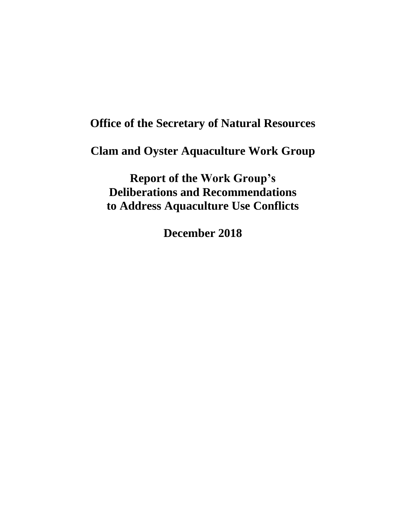# **Office of the Secretary of Natural Resources**

**Clam and Oyster Aquaculture Work Group**

**Report of the Work Group's Deliberations and Recommendations to Address Aquaculture Use Conflicts**

**December 2018**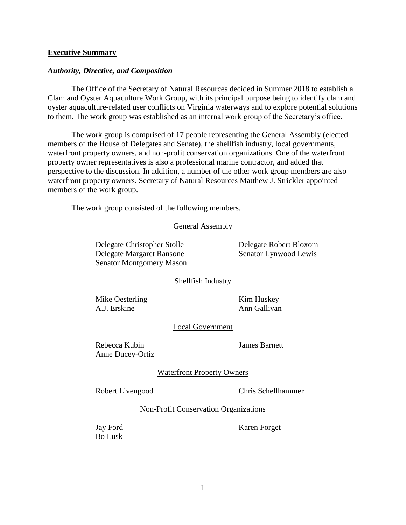#### **Executive Summary**

#### *Authority, Directive, and Composition*

The Office of the Secretary of Natural Resources decided in Summer 2018 to establish a Clam and Oyster Aquaculture Work Group, with its principal purpose being to identify clam and oyster aquaculture-related user conflicts on Virginia waterways and to explore potential solutions to them. The work group was established as an internal work group of the Secretary's office.

The work group is comprised of 17 people representing the General Assembly (elected members of the House of Delegates and Senate), the shellfish industry, local governments, waterfront property owners, and non-profit conservation organizations. One of the waterfront property owner representatives is also a professional marine contractor, and added that perspective to the discussion. In addition, a number of the other work group members are also waterfront property owners. Secretary of Natural Resources Matthew J. Strickler appointed members of the work group.

The work group consisted of the following members.

#### General Assembly

Delegate Christopher Stolle Delegate Robert Bloxom Delegate Margaret Ransone Senator Lynwood Lewis Senator Montgomery Mason

#### Shellfish Industry

Mike Oesterling Kim Huskey A.J. Erskine Ann Gallivan

## Local Government

Rebecca Kubin James Barnett Anne Ducey-Ortiz

#### Waterfront Property Owners

Robert Livengood Chris Schellhammer

Non-Profit Conservation Organizations

Bo Lusk

Jay Ford Karen Forget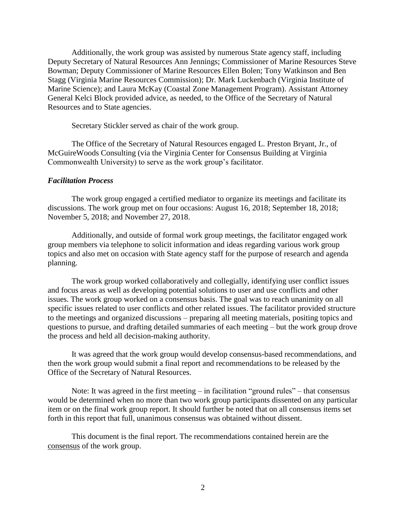Additionally, the work group was assisted by numerous State agency staff, including Deputy Secretary of Natural Resources Ann Jennings; Commissioner of Marine Resources Steve Bowman; Deputy Commissioner of Marine Resources Ellen Bolen; Tony Watkinson and Ben Stagg (Virginia Marine Resources Commission); Dr. Mark Luckenbach (Virginia Institute of Marine Science); and Laura McKay (Coastal Zone Management Program). Assistant Attorney General Kelci Block provided advice, as needed, to the Office of the Secretary of Natural Resources and to State agencies.

Secretary Stickler served as chair of the work group.

The Office of the Secretary of Natural Resources engaged L. Preston Bryant, Jr., of McGuireWoods Consulting (via the Virginia Center for Consensus Building at Virginia Commonwealth University) to serve as the work group's facilitator.

#### *Facilitation Process*

The work group engaged a certified mediator to organize its meetings and facilitate its discussions. The work group met on four occasions: August 16, 2018; September 18, 2018; November 5, 2018; and November 27, 2018.

Additionally, and outside of formal work group meetings, the facilitator engaged work group members via telephone to solicit information and ideas regarding various work group topics and also met on occasion with State agency staff for the purpose of research and agenda planning.

The work group worked collaboratively and collegially, identifying user conflict issues and focus areas as well as developing potential solutions to user and use conflicts and other issues. The work group worked on a consensus basis. The goal was to reach unanimity on all specific issues related to user conflicts and other related issues. The facilitator provided structure to the meetings and organized discussions – preparing all meeting materials, positing topics and questions to pursue, and drafting detailed summaries of each meeting – but the work group drove the process and held all decision-making authority.

It was agreed that the work group would develop consensus-based recommendations, and then the work group would submit a final report and recommendations to be released by the Office of the Secretary of Natural Resources.

Note: It was agreed in the first meeting  $-$  in facilitation "ground rules"  $-$  that consensus would be determined when no more than two work group participants dissented on any particular item or on the final work group report. It should further be noted that on all consensus items set forth in this report that full, unanimous consensus was obtained without dissent.

This document is the final report. The recommendations contained herein are the consensus of the work group.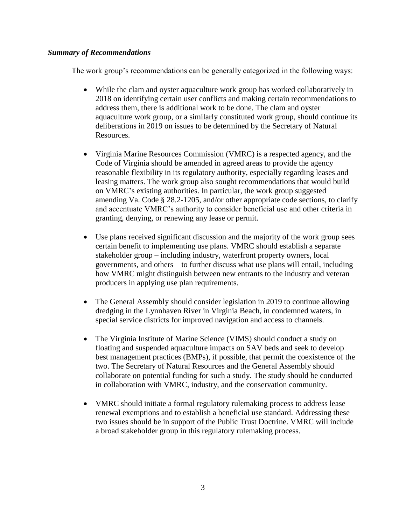## *Summary of Recommendations*

The work group's recommendations can be generally categorized in the following ways:

- While the clam and oyster aquaculture work group has worked collaboratively in 2018 on identifying certain user conflicts and making certain recommendations to address them, there is additional work to be done. The clam and oyster aquaculture work group, or a similarly constituted work group, should continue its deliberations in 2019 on issues to be determined by the Secretary of Natural Resources.
- Virginia Marine Resources Commission (VMRC) is a respected agency, and the Code of Virginia should be amended in agreed areas to provide the agency reasonable flexibility in its regulatory authority, especially regarding leases and leasing matters. The work group also sought recommendations that would build on VMRC's existing authorities. In particular, the work group suggested amending Va. Code § 28.2-1205, and/or other appropriate code sections, to clarify and accentuate VMRC's authority to consider beneficial use and other criteria in granting, denying, or renewing any lease or permit.
- Use plans received significant discussion and the majority of the work group sees certain benefit to implementing use plans. VMRC should establish a separate stakeholder group – including industry, waterfront property owners, local governments, and others – to further discuss what use plans will entail, including how VMRC might distinguish between new entrants to the industry and veteran producers in applying use plan requirements.
- The General Assembly should consider legislation in 2019 to continue allowing dredging in the Lynnhaven River in Virginia Beach, in condemned waters, in special service districts for improved navigation and access to channels.
- The Virginia Institute of Marine Science (VIMS) should conduct a study on floating and suspended aquaculture impacts on SAV beds and seek to develop best management practices (BMPs), if possible, that permit the coexistence of the two. The Secretary of Natural Resources and the General Assembly should collaborate on potential funding for such a study. The study should be conducted in collaboration with VMRC, industry, and the conservation community.
- VMRC should initiate a formal regulatory rulemaking process to address lease renewal exemptions and to establish a beneficial use standard. Addressing these two issues should be in support of the Public Trust Doctrine. VMRC will include a broad stakeholder group in this regulatory rulemaking process.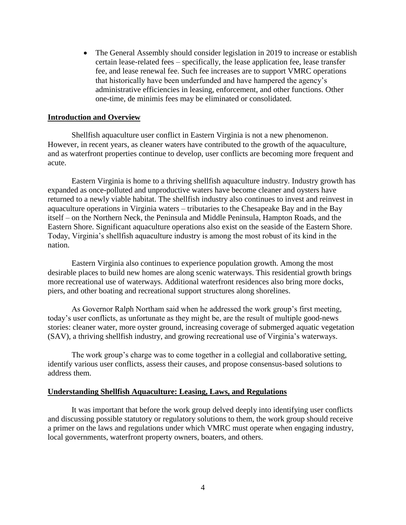• The General Assembly should consider legislation in 2019 to increase or establish certain lease-related fees – specifically, the lease application fee, lease transfer fee, and lease renewal fee. Such fee increases are to support VMRC operations that historically have been underfunded and have hampered the agency's administrative efficiencies in leasing, enforcement, and other functions. Other one-time, de minimis fees may be eliminated or consolidated.

#### **Introduction and Overview**

Shellfish aquaculture user conflict in Eastern Virginia is not a new phenomenon. However, in recent years, as cleaner waters have contributed to the growth of the aquaculture, and as waterfront properties continue to develop, user conflicts are becoming more frequent and acute.

Eastern Virginia is home to a thriving shellfish aquaculture industry. Industry growth has expanded as once-polluted and unproductive waters have become cleaner and oysters have returned to a newly viable habitat. The shellfish industry also continues to invest and reinvest in aquaculture operations in Virginia waters – tributaries to the Chesapeake Bay and in the Bay itself – on the Northern Neck, the Peninsula and Middle Peninsula, Hampton Roads, and the Eastern Shore. Significant aquaculture operations also exist on the seaside of the Eastern Shore. Today, Virginia's shellfish aquaculture industry is among the most robust of its kind in the nation.

Eastern Virginia also continues to experience population growth. Among the most desirable places to build new homes are along scenic waterways. This residential growth brings more recreational use of waterways. Additional waterfront residences also bring more docks, piers, and other boating and recreational support structures along shorelines.

As Governor Ralph Northam said when he addressed the work group's first meeting, today's user conflicts, as unfortunate as they might be, are the result of multiple good-news stories: cleaner water, more oyster ground, increasing coverage of submerged aquatic vegetation (SAV), a thriving shellfish industry, and growing recreational use of Virginia's waterways.

The work group's charge was to come together in a collegial and collaborative setting, identify various user conflicts, assess their causes, and propose consensus-based solutions to address them.

#### **Understanding Shellfish Aquaculture: Leasing, Laws, and Regulations**

It was important that before the work group delved deeply into identifying user conflicts and discussing possible statutory or regulatory solutions to them, the work group should receive a primer on the laws and regulations under which VMRC must operate when engaging industry, local governments, waterfront property owners, boaters, and others.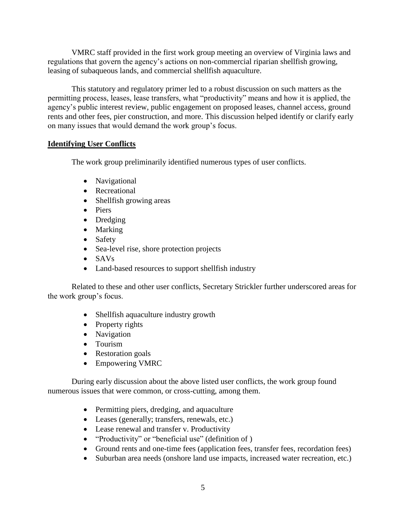VMRC staff provided in the first work group meeting an overview of Virginia laws and regulations that govern the agency's actions on non-commercial riparian shellfish growing, leasing of subaqueous lands, and commercial shellfish aquaculture.

This statutory and regulatory primer led to a robust discussion on such matters as the permitting process, leases, lease transfers, what "productivity" means and how it is applied, the agency's public interest review, public engagement on proposed leases, channel access, ground rents and other fees, pier construction, and more. This discussion helped identify or clarify early on many issues that would demand the work group's focus.

# **Identifying User Conflicts**

The work group preliminarily identified numerous types of user conflicts.

- Navigational
- Recreational
- Shellfish growing areas
- Piers
- Dredging
- Marking
- Safety
- Sea-level rise, shore protection projects
- SAVs
- Land-based resources to support shellfish industry

Related to these and other user conflicts, Secretary Strickler further underscored areas for the work group's focus.

- Shellfish aquaculture industry growth
- $\bullet$  Property rights
- Navigation
- Tourism
- Restoration goals
- Empowering VMRC

During early discussion about the above listed user conflicts, the work group found numerous issues that were common, or cross-cutting, among them.

- Permitting piers, dredging, and aquaculture
- Leases (generally; transfers, renewals, etc.)
- Lease renewal and transfer v. Productivity
- "Productivity" or "beneficial use" (definition of )
- Ground rents and one-time fees (application fees, transfer fees, recordation fees)
- Suburban area needs (onshore land use impacts, increased water recreation, etc.)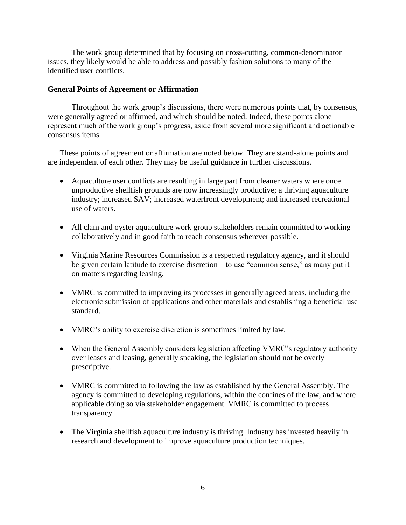The work group determined that by focusing on cross-cutting, common-denominator issues, they likely would be able to address and possibly fashion solutions to many of the identified user conflicts.

#### **General Points of Agreement or Affirmation**

Throughout the work group's discussions, there were numerous points that, by consensus, were generally agreed or affirmed, and which should be noted. Indeed, these points alone represent much of the work group's progress, aside from several more significant and actionable consensus items.

These points of agreement or affirmation are noted below. They are stand-alone points and are independent of each other. They may be useful guidance in further discussions.

- Aquaculture user conflicts are resulting in large part from cleaner waters where once unproductive shellfish grounds are now increasingly productive; a thriving aquaculture industry; increased SAV; increased waterfront development; and increased recreational use of waters.
- All clam and oyster aquaculture work group stakeholders remain committed to working collaboratively and in good faith to reach consensus wherever possible.
- Virginia Marine Resources Commission is a respected regulatory agency, and it should be given certain latitude to exercise discretion – to use "common sense," as many put it – on matters regarding leasing.
- VMRC is committed to improving its processes in generally agreed areas, including the electronic submission of applications and other materials and establishing a beneficial use standard.
- VMRC's ability to exercise discretion is sometimes limited by law.
- When the General Assembly considers legislation affecting VMRC's regulatory authority over leases and leasing, generally speaking, the legislation should not be overly prescriptive.
- VMRC is committed to following the law as established by the General Assembly. The agency is committed to developing regulations, within the confines of the law, and where applicable doing so via stakeholder engagement. VMRC is committed to process transparency.
- The Virginia shellfish aquaculture industry is thriving. Industry has invested heavily in research and development to improve aquaculture production techniques.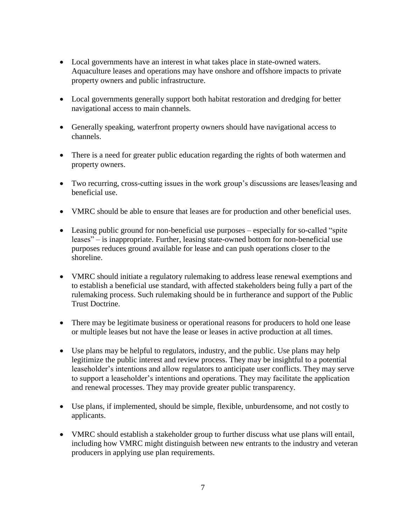- Local governments have an interest in what takes place in state-owned waters. Aquaculture leases and operations may have onshore and offshore impacts to private property owners and public infrastructure.
- Local governments generally support both habitat restoration and dredging for better navigational access to main channels.
- Generally speaking, waterfront property owners should have navigational access to channels.
- There is a need for greater public education regarding the rights of both watermen and property owners.
- Two recurring, cross-cutting issues in the work group's discussions are leases/leasing and beneficial use.
- VMRC should be able to ensure that leases are for production and other beneficial uses.
- Leasing public ground for non-beneficial use purposes especially for so-called "spite" leases" – is inappropriate. Further, leasing state-owned bottom for non-beneficial use purposes reduces ground available for lease and can push operations closer to the shoreline.
- VMRC should initiate a regulatory rulemaking to address lease renewal exemptions and to establish a beneficial use standard, with affected stakeholders being fully a part of the rulemaking process. Such rulemaking should be in furtherance and support of the Public Trust Doctrine.
- There may be legitimate business or operational reasons for producers to hold one lease or multiple leases but not have the lease or leases in active production at all times.
- Use plans may be helpful to regulators, industry, and the public. Use plans may help legitimize the public interest and review process. They may be insightful to a potential leaseholder's intentions and allow regulators to anticipate user conflicts. They may serve to support a leaseholder's intentions and operations. They may facilitate the application and renewal processes. They may provide greater public transparency.
- Use plans, if implemented, should be simple, flexible, unburdensome, and not costly to applicants.
- VMRC should establish a stakeholder group to further discuss what use plans will entail, including how VMRC might distinguish between new entrants to the industry and veteran producers in applying use plan requirements.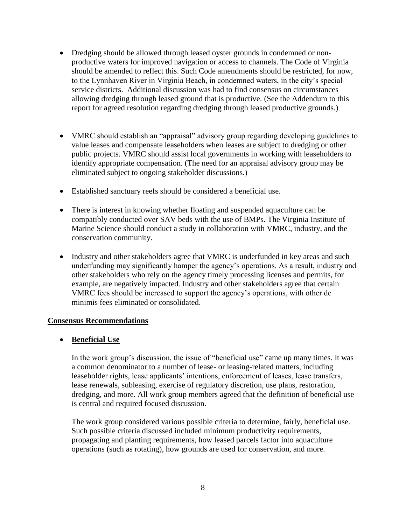- Dredging should be allowed through leased oyster grounds in condemned or nonproductive waters for improved navigation or access to channels. The Code of Virginia should be amended to reflect this. Such Code amendments should be restricted, for now, to the Lynnhaven River in Virginia Beach, in condemned waters, in the city's special service districts. Additional discussion was had to find consensus on circumstances allowing dredging through leased ground that is productive. (See the Addendum to this report for agreed resolution regarding dredging through leased productive grounds.)
- VMRC should establish an "appraisal" advisory group regarding developing guidelines to value leases and compensate leaseholders when leases are subject to dredging or other public projects. VMRC should assist local governments in working with leaseholders to identify appropriate compensation. (The need for an appraisal advisory group may be eliminated subject to ongoing stakeholder discussions.)
- Established sanctuary reefs should be considered a beneficial use.
- There is interest in knowing whether floating and suspended aquaculture can be compatibly conducted over SAV beds with the use of BMPs. The Virginia Institute of Marine Science should conduct a study in collaboration with VMRC, industry, and the conservation community.
- Industry and other stakeholders agree that VMRC is underfunded in key areas and such underfunding may significantly hamper the agency's operations. As a result, industry and other stakeholders who rely on the agency timely processing licenses and permits, for example, are negatively impacted. Industry and other stakeholders agree that certain VMRC fees should be increased to support the agency's operations, with other de minimis fees eliminated or consolidated.

## **Consensus Recommendations**

## **Beneficial Use**

In the work group's discussion, the issue of "beneficial use" came up many times. It was a common denominator to a number of lease- or leasing-related matters, including leaseholder rights, lease applicants' intentions, enforcement of leases, lease transfers, lease renewals, subleasing, exercise of regulatory discretion, use plans, restoration, dredging, and more. All work group members agreed that the definition of beneficial use is central and required focused discussion.

The work group considered various possible criteria to determine, fairly, beneficial use. Such possible criteria discussed included minimum productivity requirements, propagating and planting requirements, how leased parcels factor into aquaculture operations (such as rotating), how grounds are used for conservation, and more.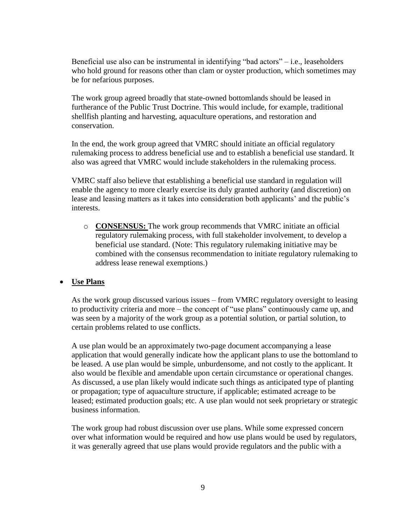Beneficial use also can be instrumental in identifying "bad actors" – i.e., leaseholders who hold ground for reasons other than clam or oyster production, which sometimes may be for nefarious purposes.

The work group agreed broadly that state-owned bottomlands should be leased in furtherance of the Public Trust Doctrine. This would include, for example, traditional shellfish planting and harvesting, aquaculture operations, and restoration and conservation.

In the end, the work group agreed that VMRC should initiate an official regulatory rulemaking process to address beneficial use and to establish a beneficial use standard. It also was agreed that VMRC would include stakeholders in the rulemaking process.

VMRC staff also believe that establishing a beneficial use standard in regulation will enable the agency to more clearly exercise its duly granted authority (and discretion) on lease and leasing matters as it takes into consideration both applicants' and the public's interests.

o **CONSENSUS:** The work group recommends that VMRC initiate an official regulatory rulemaking process, with full stakeholder involvement, to develop a beneficial use standard. (Note: This regulatory rulemaking initiative may be combined with the consensus recommendation to initiate regulatory rulemaking to address lease renewal exemptions.)

# **Use Plans**

As the work group discussed various issues – from VMRC regulatory oversight to leasing to productivity criteria and more – the concept of "use plans" continuously came up, and was seen by a majority of the work group as a potential solution, or partial solution, to certain problems related to use conflicts.

A use plan would be an approximately two-page document accompanying a lease application that would generally indicate how the applicant plans to use the bottomland to be leased. A use plan would be simple, unburdensome, and not costly to the applicant. It also would be flexible and amendable upon certain circumstance or operational changes. As discussed, a use plan likely would indicate such things as anticipated type of planting or propagation; type of aquaculture structure, if applicable; estimated acreage to be leased; estimated production goals; etc. A use plan would not seek proprietary or strategic business information.

The work group had robust discussion over use plans. While some expressed concern over what information would be required and how use plans would be used by regulators, it was generally agreed that use plans would provide regulators and the public with a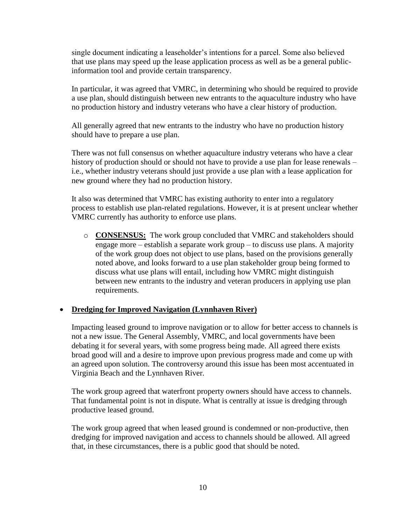single document indicating a leaseholder's intentions for a parcel. Some also believed that use plans may speed up the lease application process as well as be a general publicinformation tool and provide certain transparency.

In particular, it was agreed that VMRC, in determining who should be required to provide a use plan, should distinguish between new entrants to the aquaculture industry who have no production history and industry veterans who have a clear history of production.

All generally agreed that new entrants to the industry who have no production history should have to prepare a use plan.

There was not full consensus on whether aquaculture industry veterans who have a clear history of production should or should not have to provide a use plan for lease renewals – i.e., whether industry veterans should just provide a use plan with a lease application for new ground where they had no production history.

It also was determined that VMRC has existing authority to enter into a regulatory process to establish use plan-related regulations. However, it is at present unclear whether VMRC currently has authority to enforce use plans.

o **CONSENSUS:** The work group concluded that VMRC and stakeholders should engage more – establish a separate work group – to discuss use plans. A majority of the work group does not object to use plans, based on the provisions generally noted above, and looks forward to a use plan stakeholder group being formed to discuss what use plans will entail, including how VMRC might distinguish between new entrants to the industry and veteran producers in applying use plan requirements.

# **Dredging for Improved Navigation (Lynnhaven River)**

Impacting leased ground to improve navigation or to allow for better access to channels is not a new issue. The General Assembly, VMRC, and local governments have been debating it for several years, with some progress being made. All agreed there exists broad good will and a desire to improve upon previous progress made and come up with an agreed upon solution. The controversy around this issue has been most accentuated in Virginia Beach and the Lynnhaven River.

The work group agreed that waterfront property owners should have access to channels. That fundamental point is not in dispute. What is centrally at issue is dredging through productive leased ground.

The work group agreed that when leased ground is condemned or non-productive, then dredging for improved navigation and access to channels should be allowed. All agreed that, in these circumstances, there is a public good that should be noted.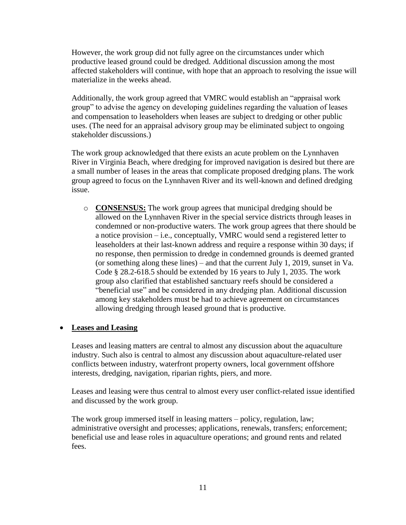However, the work group did not fully agree on the circumstances under which productive leased ground could be dredged. Additional discussion among the most affected stakeholders will continue, with hope that an approach to resolving the issue will materialize in the weeks ahead.

Additionally, the work group agreed that VMRC would establish an "appraisal work group" to advise the agency on developing guidelines regarding the valuation of leases and compensation to leaseholders when leases are subject to dredging or other public uses. (The need for an appraisal advisory group may be eliminated subject to ongoing stakeholder discussions.)

The work group acknowledged that there exists an acute problem on the Lynnhaven River in Virginia Beach, where dredging for improved navigation is desired but there are a small number of leases in the areas that complicate proposed dredging plans. The work group agreed to focus on the Lynnhaven River and its well-known and defined dredging issue.

o **CONSENSUS:** The work group agrees that municipal dredging should be allowed on the Lynnhaven River in the special service districts through leases in condemned or non-productive waters. The work group agrees that there should be a notice provision – i.e., conceptually, VMRC would send a registered letter to leaseholders at their last-known address and require a response within 30 days; if no response, then permission to dredge in condemned grounds is deemed granted (or something along these lines) – and that the current July 1, 2019, sunset in Va. Code § 28.2-618.5 should be extended by 16 years to July 1, 2035. The work group also clarified that established sanctuary reefs should be considered a "beneficial use" and be considered in any dredging plan. Additional discussion among key stakeholders must be had to achieve agreement on circumstances allowing dredging through leased ground that is productive.

## **Leases and Leasing**

Leases and leasing matters are central to almost any discussion about the aquaculture industry. Such also is central to almost any discussion about aquaculture-related user conflicts between industry, waterfront property owners, local government offshore interests, dredging, navigation, riparian rights, piers, and more.

Leases and leasing were thus central to almost every user conflict-related issue identified and discussed by the work group.

The work group immersed itself in leasing matters – policy, regulation, law; administrative oversight and processes; applications, renewals, transfers; enforcement; beneficial use and lease roles in aquaculture operations; and ground rents and related fees.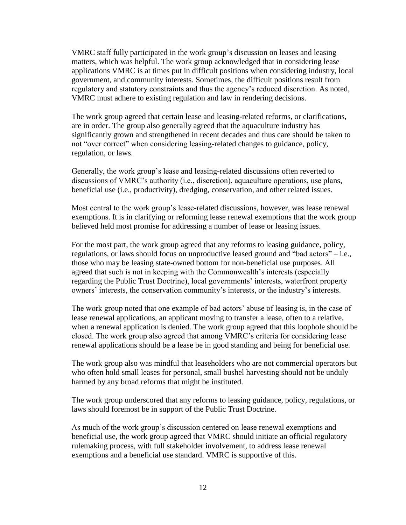VMRC staff fully participated in the work group's discussion on leases and leasing matters, which was helpful. The work group acknowledged that in considering lease applications VMRC is at times put in difficult positions when considering industry, local government, and community interests. Sometimes, the difficult positions result from regulatory and statutory constraints and thus the agency's reduced discretion. As noted, VMRC must adhere to existing regulation and law in rendering decisions.

The work group agreed that certain lease and leasing-related reforms, or clarifications, are in order. The group also generally agreed that the aquaculture industry has significantly grown and strengthened in recent decades and thus care should be taken to not "over correct" when considering leasing-related changes to guidance, policy, regulation, or laws.

Generally, the work group's lease and leasing-related discussions often reverted to discussions of VMRC's authority (i.e., discretion), aquaculture operations, use plans, beneficial use (i.e., productivity), dredging, conservation, and other related issues.

Most central to the work group's lease-related discussions, however, was lease renewal exemptions. It is in clarifying or reforming lease renewal exemptions that the work group believed held most promise for addressing a number of lease or leasing issues.

For the most part, the work group agreed that any reforms to leasing guidance, policy, regulations, or laws should focus on unproductive leased ground and "bad actors" – i.e., those who may be leasing state-owned bottom for non-beneficial use purposes. All agreed that such is not in keeping with the Commonwealth's interests (especially regarding the Public Trust Doctrine), local governments' interests, waterfront property owners' interests, the conservation community's interests, or the industry's interests.

The work group noted that one example of bad actors' abuse of leasing is, in the case of lease renewal applications, an applicant moving to transfer a lease, often to a relative, when a renewal application is denied. The work group agreed that this loophole should be closed. The work group also agreed that among VMRC's criteria for considering lease renewal applications should be a lease be in good standing and being for beneficial use.

The work group also was mindful that leaseholders who are not commercial operators but who often hold small leases for personal, small bushel harvesting should not be unduly harmed by any broad reforms that might be instituted.

The work group underscored that any reforms to leasing guidance, policy, regulations, or laws should foremost be in support of the Public Trust Doctrine.

As much of the work group's discussion centered on lease renewal exemptions and beneficial use, the work group agreed that VMRC should initiate an official regulatory rulemaking process, with full stakeholder involvement, to address lease renewal exemptions and a beneficial use standard. VMRC is supportive of this.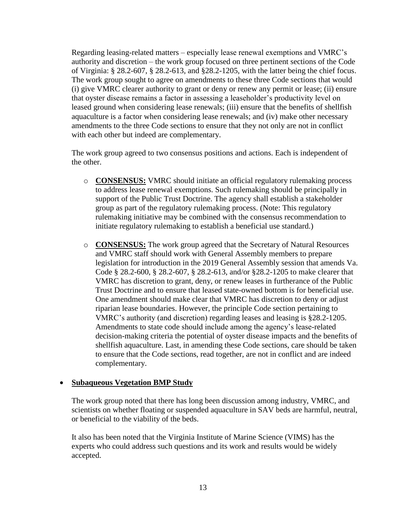Regarding leasing-related matters – especially lease renewal exemptions and VMRC's authority and discretion – the work group focused on three pertinent sections of the Code of Virginia: § 28.2-607, § 28.2-613, and §28.2-1205, with the latter being the chief focus. The work group sought to agree on amendments to these three Code sections that would (i) give VMRC clearer authority to grant or deny or renew any permit or lease; (ii) ensure that oyster disease remains a factor in assessing a leaseholder's productivity level on leased ground when considering lease renewals; (iii) ensure that the benefits of shellfish aquaculture is a factor when considering lease renewals; and (iv) make other necessary amendments to the three Code sections to ensure that they not only are not in conflict with each other but indeed are complementary.

The work group agreed to two consensus positions and actions. Each is independent of the other.

- o **CONSENSUS:** VMRC should initiate an official regulatory rulemaking process to address lease renewal exemptions. Such rulemaking should be principally in support of the Public Trust Doctrine. The agency shall establish a stakeholder group as part of the regulatory rulemaking process. (Note: This regulatory rulemaking initiative may be combined with the consensus recommendation to initiate regulatory rulemaking to establish a beneficial use standard.)
- o **CONSENSUS:** The work group agreed that the Secretary of Natural Resources and VMRC staff should work with General Assembly members to prepare legislation for introduction in the 2019 General Assembly session that amends Va. Code § 28.2-600, § 28.2-607, § 28.2-613, and/or §28.2-1205 to make clearer that VMRC has discretion to grant, deny, or renew leases in furtherance of the Public Trust Doctrine and to ensure that leased state-owned bottom is for beneficial use. One amendment should make clear that VMRC has discretion to deny or adjust riparian lease boundaries. However, the principle Code section pertaining to VMRC's authority (and discretion) regarding leases and leasing is §28.2-1205. Amendments to state code should include among the agency's lease-related decision-making criteria the potential of oyster disease impacts and the benefits of shellfish aquaculture. Last, in amending these Code sections, care should be taken to ensure that the Code sections, read together, are not in conflict and are indeed complementary.

## **Subaqueous Vegetation BMP Study**

The work group noted that there has long been discussion among industry, VMRC, and scientists on whether floating or suspended aquaculture in SAV beds are harmful, neutral, or beneficial to the viability of the beds.

It also has been noted that the Virginia Institute of Marine Science (VIMS) has the experts who could address such questions and its work and results would be widely accepted.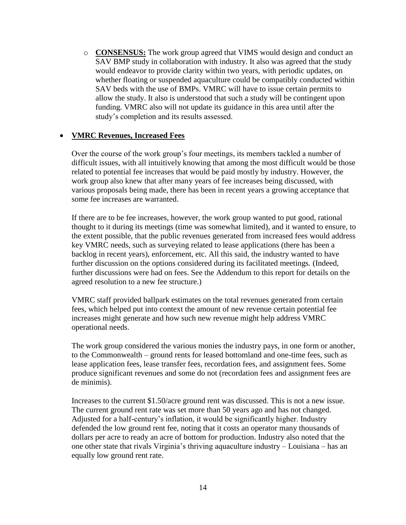o **CONSENSUS:** The work group agreed that VIMS would design and conduct an SAV BMP study in collaboration with industry. It also was agreed that the study would endeavor to provide clarity within two years, with periodic updates, on whether floating or suspended aquaculture could be compatibly conducted within SAV beds with the use of BMPs. VMRC will have to issue certain permits to allow the study. It also is understood that such a study will be contingent upon funding. VMRC also will not update its guidance in this area until after the study's completion and its results assessed.

## **VMRC Revenues, Increased Fees**

Over the course of the work group's four meetings, its members tackled a number of difficult issues, with all intuitively knowing that among the most difficult would be those related to potential fee increases that would be paid mostly by industry. However, the work group also knew that after many years of fee increases being discussed, with various proposals being made, there has been in recent years a growing acceptance that some fee increases are warranted.

If there are to be fee increases, however, the work group wanted to put good, rational thought to it during its meetings (time was somewhat limited), and it wanted to ensure, to the extent possible, that the public revenues generated from increased fees would address key VMRC needs, such as surveying related to lease applications (there has been a backlog in recent years), enforcement, etc. All this said, the industry wanted to have further discussion on the options considered during its facilitated meetings. (Indeed, further discussions were had on fees. See the Addendum to this report for details on the agreed resolution to a new fee structure.)

VMRC staff provided ballpark estimates on the total revenues generated from certain fees, which helped put into context the amount of new revenue certain potential fee increases might generate and how such new revenue might help address VMRC operational needs.

The work group considered the various monies the industry pays, in one form or another, to the Commonwealth – ground rents for leased bottomland and one-time fees, such as lease application fees, lease transfer fees, recordation fees, and assignment fees. Some produce significant revenues and some do not (recordation fees and assignment fees are de minimis).

Increases to the current \$1.50/acre ground rent was discussed. This is not a new issue. The current ground rent rate was set more than 50 years ago and has not changed. Adjusted for a half-century's inflation, it would be significantly higher. Industry defended the low ground rent fee, noting that it costs an operator many thousands of dollars per acre to ready an acre of bottom for production. Industry also noted that the one other state that rivals Virginia's thriving aquaculture industry – Louisiana – has an equally low ground rent rate.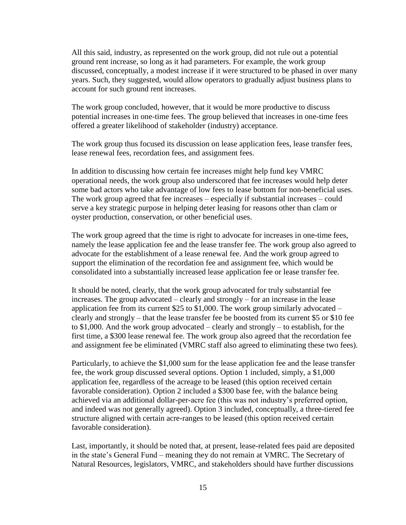All this said, industry, as represented on the work group, did not rule out a potential ground rent increase, so long as it had parameters. For example, the work group discussed, conceptually, a modest increase if it were structured to be phased in over many years. Such, they suggested, would allow operators to gradually adjust business plans to account for such ground rent increases.

The work group concluded, however, that it would be more productive to discuss potential increases in one-time fees. The group believed that increases in one-time fees offered a greater likelihood of stakeholder (industry) acceptance.

The work group thus focused its discussion on lease application fees, lease transfer fees, lease renewal fees, recordation fees, and assignment fees.

In addition to discussing how certain fee increases might help fund key VMRC operational needs, the work group also underscored that fee increases would help deter some bad actors who take advantage of low fees to lease bottom for non-beneficial uses. The work group agreed that fee increases – especially if substantial increases – could serve a key strategic purpose in helping deter leasing for reasons other than clam or oyster production, conservation, or other beneficial uses.

The work group agreed that the time is right to advocate for increases in one-time fees, namely the lease application fee and the lease transfer fee. The work group also agreed to advocate for the establishment of a lease renewal fee. And the work group agreed to support the elimination of the recordation fee and assignment fee, which would be consolidated into a substantially increased lease application fee or lease transfer fee.

It should be noted, clearly, that the work group advocated for truly substantial fee increases. The group advocated – clearly and strongly – for an increase in the lease application fee from its current \$25 to \$1,000. The work group similarly advocated  $$ clearly and strongly – that the lease transfer fee be boosted from its current \$5 or \$10 fee to \$1,000. And the work group advocated – clearly and strongly – to establish, for the first time, a \$300 lease renewal fee. The work group also agreed that the recordation fee and assignment fee be eliminated (VMRC staff also agreed to eliminating these two fees).

Particularly, to achieve the \$1,000 sum for the lease application fee and the lease transfer fee, the work group discussed several options. Option 1 included, simply, a \$1,000 application fee, regardless of the acreage to be leased (this option received certain favorable consideration). Option 2 included a \$300 base fee, with the balance being achieved via an additional dollar-per-acre fee (this was not industry's preferred option, and indeed was not generally agreed). Option 3 included, conceptually, a three-tiered fee structure aligned with certain acre-ranges to be leased (this option received certain favorable consideration).

Last, importantly, it should be noted that, at present, lease-related fees paid are deposited in the state's General Fund – meaning they do not remain at VMRC. The Secretary of Natural Resources, legislators, VMRC, and stakeholders should have further discussions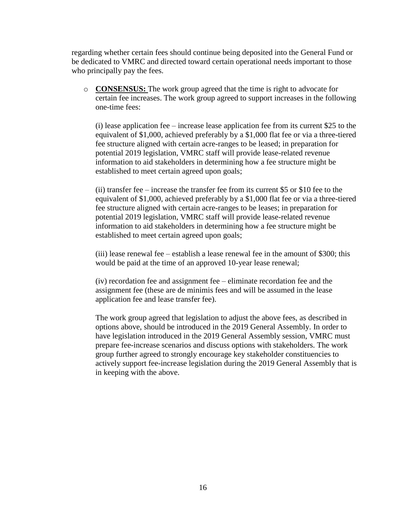regarding whether certain fees should continue being deposited into the General Fund or be dedicated to VMRC and directed toward certain operational needs important to those who principally pay the fees.

o **CONSENSUS:** The work group agreed that the time is right to advocate for certain fee increases. The work group agreed to support increases in the following one-time fees:

(i) lease application fee – increase lease application fee from its current \$25 to the equivalent of \$1,000, achieved preferably by a \$1,000 flat fee or via a three-tiered fee structure aligned with certain acre-ranges to be leased; in preparation for potential 2019 legislation, VMRC staff will provide lease-related revenue information to aid stakeholders in determining how a fee structure might be established to meet certain agreed upon goals;

(ii) transfer fee – increase the transfer fee from its current \$5 or \$10 fee to the equivalent of \$1,000, achieved preferably by a \$1,000 flat fee or via a three-tiered fee structure aligned with certain acre-ranges to be leases; in preparation for potential 2019 legislation, VMRC staff will provide lease-related revenue information to aid stakeholders in determining how a fee structure might be established to meet certain agreed upon goals;

(iii) lease renewal fee – establish a lease renewal fee in the amount of \$300; this would be paid at the time of an approved 10-year lease renewal;

(iv) recordation fee and assignment fee – eliminate recordation fee and the assignment fee (these are de minimis fees and will be assumed in the lease application fee and lease transfer fee).

The work group agreed that legislation to adjust the above fees, as described in options above, should be introduced in the 2019 General Assembly. In order to have legislation introduced in the 2019 General Assembly session, VMRC must prepare fee-increase scenarios and discuss options with stakeholders. The work group further agreed to strongly encourage key stakeholder constituencies to actively support fee-increase legislation during the 2019 General Assembly that is in keeping with the above.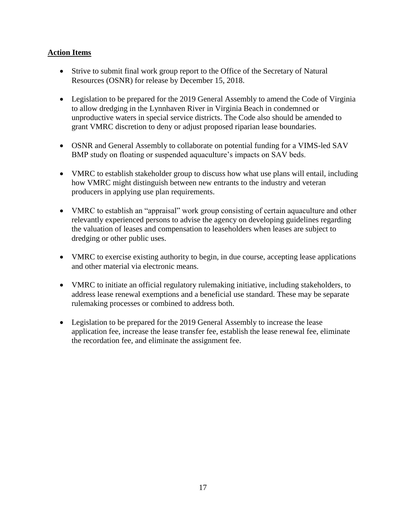# **Action Items**

- Strive to submit final work group report to the Office of the Secretary of Natural Resources (OSNR) for release by December 15, 2018.
- Legislation to be prepared for the 2019 General Assembly to amend the Code of Virginia to allow dredging in the Lynnhaven River in Virginia Beach in condemned or unproductive waters in special service districts. The Code also should be amended to grant VMRC discretion to deny or adjust proposed riparian lease boundaries.
- OSNR and General Assembly to collaborate on potential funding for a VIMS-led SAV BMP study on floating or suspended aquaculture's impacts on SAV beds.
- VMRC to establish stakeholder group to discuss how what use plans will entail, including how VMRC might distinguish between new entrants to the industry and veteran producers in applying use plan requirements.
- VMRC to establish an "appraisal" work group consisting of certain aquaculture and other relevantly experienced persons to advise the agency on developing guidelines regarding the valuation of leases and compensation to leaseholders when leases are subject to dredging or other public uses.
- VMRC to exercise existing authority to begin, in due course, accepting lease applications and other material via electronic means.
- VMRC to initiate an official regulatory rulemaking initiative, including stakeholders, to address lease renewal exemptions and a beneficial use standard. These may be separate rulemaking processes or combined to address both.
- Legislation to be prepared for the 2019 General Assembly to increase the lease application fee, increase the lease transfer fee, establish the lease renewal fee, eliminate the recordation fee, and eliminate the assignment fee.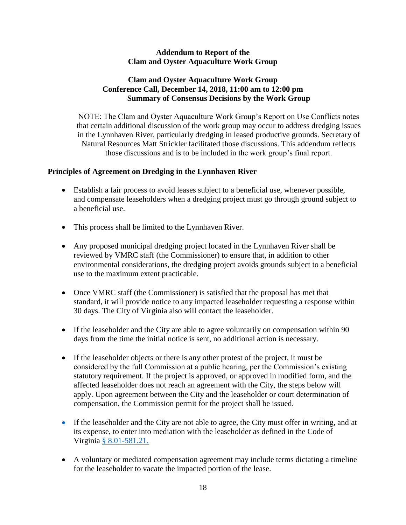## **Addendum to Report of the Clam and Oyster Aquaculture Work Group**

# **Clam and Oyster Aquaculture Work Group Conference Call, December 14, 2018, 11:00 am to 12:00 pm Summary of Consensus Decisions by the Work Group**

NOTE: The Clam and Oyster Aquaculture Work Group's Report on Use Conflicts notes that certain additional discussion of the work group may occur to address dredging issues in the Lynnhaven River, particularly dredging in leased productive grounds. Secretary of Natural Resources Matt Strickler facilitated those discussions. This addendum reflects those discussions and is to be included in the work group's final report.

# **Principles of Agreement on Dredging in the Lynnhaven River**

- Establish a fair process to avoid leases subject to a beneficial use, whenever possible, and compensate leaseholders when a dredging project must go through ground subject to a beneficial use.
- This process shall be limited to the Lynnhaven River.
- Any proposed municipal dredging project located in the Lynnhaven River shall be reviewed by VMRC staff (the Commissioner) to ensure that, in addition to other environmental considerations, the dredging project avoids grounds subject to a beneficial use to the maximum extent practicable.
- Once VMRC staff (the Commissioner) is satisfied that the proposal has met that standard, it will provide notice to any impacted leaseholder requesting a response within 30 days. The City of Virginia also will contact the leaseholder.
- If the leaseholder and the City are able to agree voluntarily on compensation within 90 days from the time the initial notice is sent, no additional action is necessary.
- If the leaseholder objects or there is any other protest of the project, it must be considered by the full Commission at a public hearing, per the Commission's existing statutory requirement. If the project is approved, or approved in modified form, and the affected leaseholder does not reach an agreement with the City, the steps below will apply. Upon agreement between the City and the leaseholder or court determination of compensation, the Commission permit for the project shall be issued.
- If the leaseholder and the City are not able to agree, the City must offer in writing, and at its expense, to enter into mediation with the leaseholder as defined in the Code of Virginia § [8.01-581.21.](https://law.lis.virginia.gov/vacode/title8.01/chapter21.2/section8.01-581.21/)
- A voluntary or mediated compensation agreement may include terms dictating a timeline for the leaseholder to vacate the impacted portion of the lease.